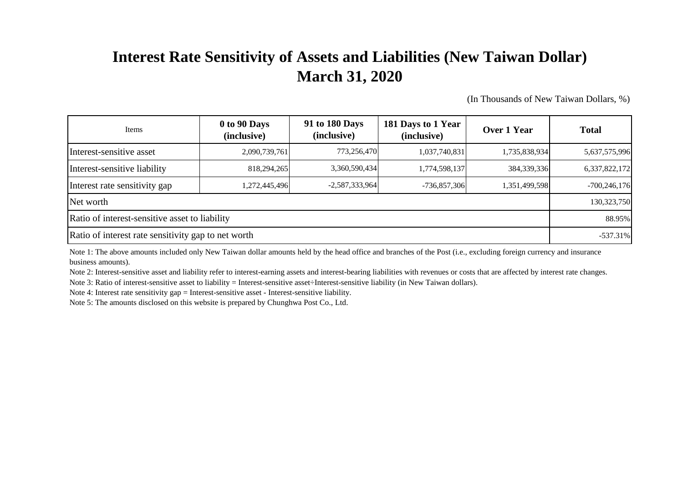## **Interest Rate Sensitivity of Assets and Liabilities (New Taiwan Dollar) March 31, 2020**

(In Thousands of New Taiwan Dollars, %)

| Items                                               | 0 to 90 Days<br>(inclusive) | 91 to 180 Days<br>(inclusive) | 181 Days to 1 Year<br>(inclusive) | Over 1 Year   | <b>Total</b>   |
|-----------------------------------------------------|-----------------------------|-------------------------------|-----------------------------------|---------------|----------------|
| Interest-sensitive asset                            | 2,090,739,761               | 773,256,470                   | 1,037,740,831                     | 1,735,838,934 | 5,637,575,996  |
| Interest-sensitive liability                        | 818,294,265                 | 3,360,590,434                 | 1,774,598,137                     | 384, 339, 336 | 6,337,822,172  |
| Interest rate sensitivity gap                       | 1,272,445,496               | $-2,587,333,964$              | $-736,857,306$                    | 1,351,499,598 | $-700,246,176$ |
| Net worth                                           | 130,323,750                 |                               |                                   |               |                |
| Ratio of interest-sensitive asset to liability      | 88.95%                      |                               |                                   |               |                |
| Ratio of interest rate sensitivity gap to net worth | $-537.31\%$                 |                               |                                   |               |                |

Note 1: The above amounts included only New Taiwan dollar amounts held by the head office and branches of the Post (i.e., excluding foreign currency and insurance business amounts).

Note 2: Interest-sensitive asset and liability refer to interest-earning assets and interest-bearing liabilities with revenues or costs that are affected by interest rate changes.

Note 3: Ratio of interest-sensitive asset to liability = Interest-sensitive asset÷Interest-sensitive liability (in New Taiwan dollars).

Note 4: Interest rate sensitivity gap = Interest-sensitive asset - Interest-sensitive liability.

Note 5: The amounts disclosed on this website is prepared by Chunghwa Post Co., Ltd.